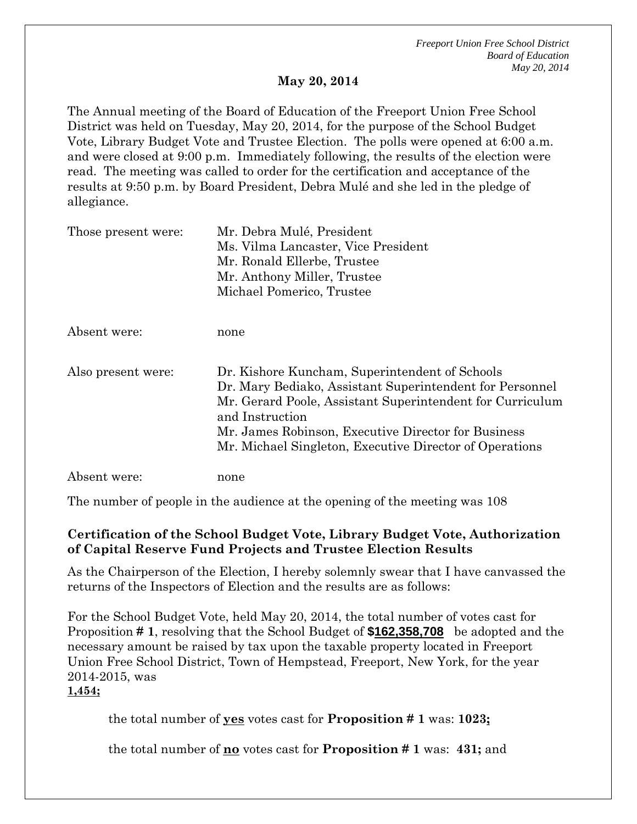*Freeport Union Free School District Board of Education May 20, 2014*

## **May 20, 2014**

The Annual meeting of the Board of Education of the Freeport Union Free School District was held on Tuesday, May 20, 2014, for the purpose of the School Budget Vote, Library Budget Vote and Trustee Election. The polls were opened at 6:00 a.m. and were closed at 9:00 p.m. Immediately following, the results of the election were read. The meeting was called to order for the certification and acceptance of the results at 9:50 p.m. by Board President, Debra Mulé and she led in the pledge of allegiance.

| Those present were: | Mr. Debra Mulé, President                                 |
|---------------------|-----------------------------------------------------------|
|                     | Ms. Vilma Lancaster, Vice President                       |
|                     | Mr. Ronald Ellerbe, Trustee                               |
|                     | Mr. Anthony Miller, Trustee                               |
|                     | Michael Pomerico, Trustee                                 |
|                     |                                                           |
| Absent were:        | none                                                      |
| Also present were:  | Dr. Kishore Kuncham, Superintendent of Schools            |
|                     | Dr. Mary Bediako, Assistant Superintendent for Personnel  |
|                     | Mr. Gerard Poole, Assistant Superintendent for Curriculum |
|                     | and Instruction                                           |
|                     | Mr. James Robinson, Executive Director for Business       |
|                     | Mr. Michael Singleton, Executive Director of Operations   |
| Absent were:        | none                                                      |

The number of people in the audience at the opening of the meeting was 108

## **Certification of the School Budget Vote, Library Budget Vote, Authorization of Capital Reserve Fund Projects and Trustee Election Results**

As the Chairperson of the Election, I hereby solemnly swear that I have canvassed the returns of the Inspectors of Election and the results are as follows:

For the School Budget Vote, held May 20, 2014, the total number of votes cast for Proposition **# 1**, resolving that the School Budget of **\$162,358,708** be adopted and the necessary amount be raised by tax upon the taxable property located in Freeport Union Free School District, Town of Hempstead, Freeport, New York, for the year 2014-2015, was

**1,454;**

the total number of **yes** votes cast for **Proposition # 1** was: **1023;**

the total number of **no** votes cast for **Proposition # 1** was: **431;** and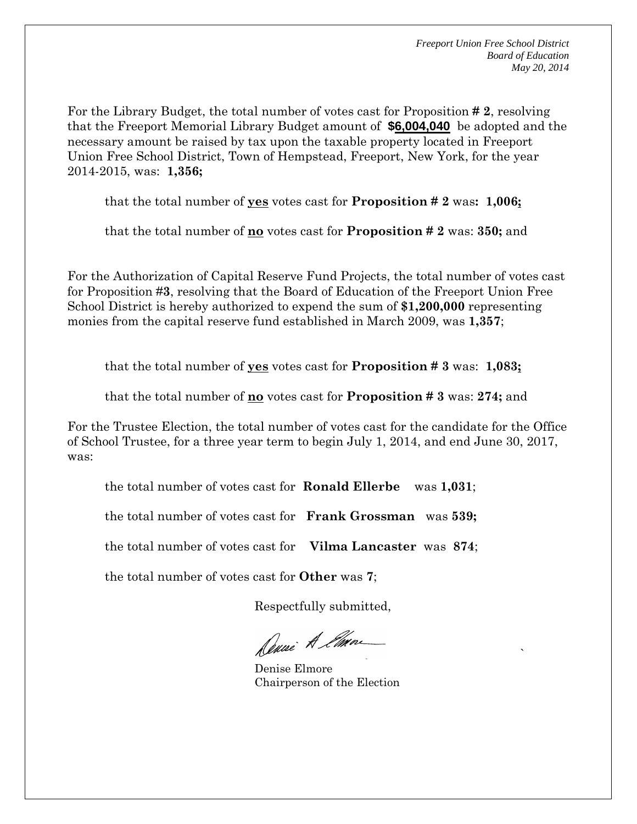For the Library Budget, the total number of votes cast for Proposition **# 2**, resolving that the Freeport Memorial Library Budget amount of **\$6,004,040** be adopted and the necessary amount be raised by tax upon the taxable property located in Freeport Union Free School District, Town of Hempstead, Freeport, New York, for the year 2014-2015, was: **1,356;**

that the total number of **yes** votes cast for **Proposition # 2** was**: 1,006;**

that the total number of **no** votes cast for **Proposition # 2** was: **350;** and

For the Authorization of Capital Reserve Fund Projects, the total number of votes cast for Proposition #**3**, resolving that the Board of Education of the Freeport Union Free School District is hereby authorized to expend the sum of **\$1,200,000** representing monies from the capital reserve fund established in March 2009, was **1,357**;

that the total number of **yes** votes cast for **Proposition # 3** was: **1,083;**

that the total number of **no** votes cast for **Proposition # 3** was: **274;** and

For the Trustee Election, the total number of votes cast for the candidate for the Office of School Trustee, for a three year term to begin July 1, 2014, and end June 30, 2017, was:

the total number of votes cast for **Ronald Ellerbe** was **1,031**;

the total number of votes cast for **Frank Grossman** was **539;**

the total number of votes cast for **Vilma Lancaster** was **874**;

the total number of votes cast for **Other** was **7**;

Respectfully submitted,

Denne A Ema

<u>Solution in the contract of the contract of the contract of the contract of the contract of the contract of the contract of the contract of the contract of the contract of the contract of the contract of the contract of t</u> Denise Elmore Chairperson of the Election